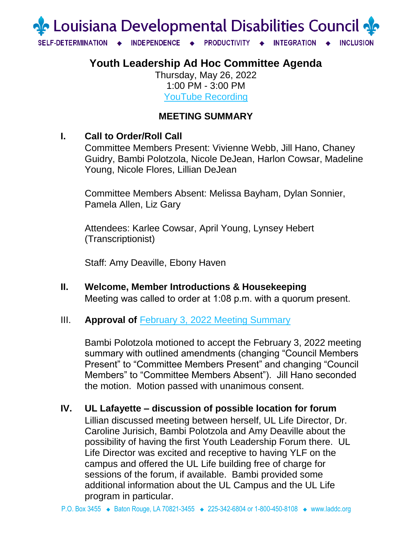

# **Youth Leadership Ad Hoc Committee Agenda**

Thursday, May 26, 2022 1:00 PM - 3:00 PM YouTube [Recording](https://www.youtube.com/watch?v=4pnxt_yWPwc)

## **MEETING SUMMARY**

## **I. Call to Order/Roll Call**

Committee Members Present: Vivienne Webb, Jill Hano, Chaney Guidry, Bambi Polotzola, Nicole DeJean, Harlon Cowsar, Madeline Young, Nicole Flores, Lillian DeJean

Committee Members Absent: Melissa Bayham, Dylan Sonnier, Pamela Allen, Liz Gary

Attendees: Karlee Cowsar, April Young, Lynsey Hebert (Transcriptionist)

Staff: Amy Deaville, Ebony Haven

**II. Welcome, Member Introductions & Housekeeping**  Meeting was called to order at 1:08 p.m. with a quorum present.

### III. **Approval of February 3, 2022 [Meeting Summary](https://laddc.org/wp-content/uploads/2022/04/YLF-Committee-Summary-2.3.2022.pdf)**

Bambi Polotzola motioned to accept the February 3, 2022 meeting summary with outlined amendments (changing "Council Members Present" to "Committee Members Present" and changing "Council Members" to "Committee Members Absent"). Jill Hano seconded the motion. Motion passed with unanimous consent.

**IV. UL Lafayette – discussion of possible location for forum**

Lillian discussed meeting between herself, UL Life Director, Dr. Caroline Jurisich, Bambi Polotzola and Amy Deaville about the possibility of having the first Youth Leadership Forum there. UL Life Director was excited and receptive to having YLF on the campus and offered the UL Life building free of charge for sessions of the forum, if available. Bambi provided some additional information about the UL Campus and the UL Life program in particular.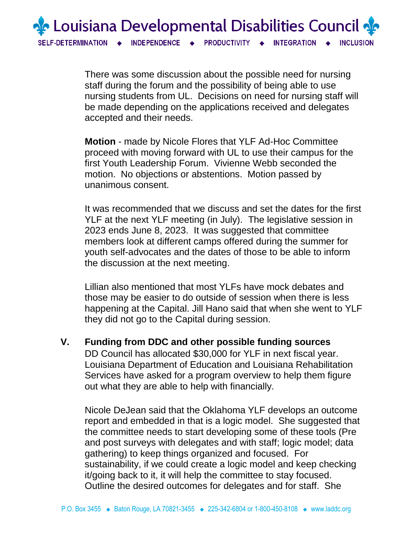

There was some discussion about the possible need for nursing staff during the forum and the possibility of being able to use nursing students from UL. Decisions on need for nursing staff will be made depending on the applications received and delegates accepted and their needs.

**Motion** - made by Nicole Flores that YLF Ad-Hoc Committee proceed with moving forward with UL to use their campus for the first Youth Leadership Forum. Vivienne Webb seconded the motion. No objections or abstentions. Motion passed by unanimous consent.

It was recommended that we discuss and set the dates for the first YLF at the next YLF meeting (in July). The legislative session in 2023 ends June 8, 2023. It was suggested that committee members look at different camps offered during the summer for youth self-advocates and the dates of those to be able to inform the discussion at the next meeting.

Lillian also mentioned that most YLFs have mock debates and those may be easier to do outside of session when there is less happening at the Capital. Jill Hano said that when she went to YLF they did not go to the Capital during session.

**V. Funding from DDC and other possible funding sources**

DD Council has allocated \$30,000 for YLF in next fiscal year. Louisiana Department of Education and Louisiana Rehabilitation Services have asked for a program overview to help them figure out what they are able to help with financially.

Nicole DeJean said that the Oklahoma YLF develops an outcome report and embedded in that is a logic model. She suggested that the committee needs to start developing some of these tools (Pre and post surveys with delegates and with staff; logic model; data gathering) to keep things organized and focused. For sustainability, if we could create a logic model and keep checking it/going back to it, it will help the committee to stay focused. Outline the desired outcomes for delegates and for staff. She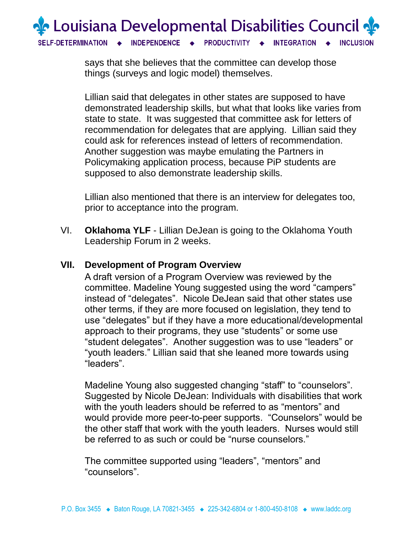

says that she believes that the committee can develop those things (surveys and logic model) themselves.

Lillian said that delegates in other states are supposed to have demonstrated leadership skills, but what that looks like varies from state to state. It was suggested that committee ask for letters of recommendation for delegates that are applying. Lillian said they could ask for references instead of letters of recommendation. Another suggestion was maybe emulating the Partners in Policymaking application process, because PiP students are supposed to also demonstrate leadership skills.

Lillian also mentioned that there is an interview for delegates too, prior to acceptance into the program.

VI. **Oklahoma YLF** - Lillian DeJean is going to the Oklahoma Youth Leadership Forum in 2 weeks.

#### **VII. Development of Program Overview**

A draft version of a Program Overview was reviewed by the committee. Madeline Young suggested using the word "campers" instead of "delegates". Nicole DeJean said that other states use other terms, if they are more focused on legislation, they tend to use "delegates" but if they have a more educational/developmental approach to their programs, they use "students" or some use "student delegates". Another suggestion was to use "leaders" or "youth leaders." Lillian said that she leaned more towards using "leaders".

Madeline Young also suggested changing "staff" to "counselors". Suggested by Nicole DeJean: Individuals with disabilities that work with the youth leaders should be referred to as "mentors" and would provide more peer-to-peer supports. "Counselors" would be the other staff that work with the youth leaders. Nurses would still be referred to as such or could be "nurse counselors."

The committee supported using "leaders", "mentors" and "counselors".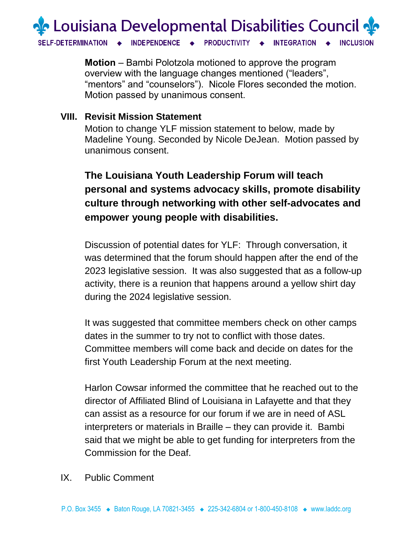

**Motion** – Bambi Polotzola motioned to approve the program overview with the language changes mentioned ("leaders", "mentors" and "counselors"). Nicole Flores seconded the motion. Motion passed by unanimous consent.

### **VIII. Revisit Mission Statement**

Motion to change YLF mission statement to below, made by Madeline Young. Seconded by Nicole DeJean. Motion passed by unanimous consent.

# **The Louisiana Youth Leadership Forum will teach personal and systems advocacy skills, promote disability culture through networking with other self-advocates and empower young people with disabilities.**

Discussion of potential dates for YLF: Through conversation, it was determined that the forum should happen after the end of the 2023 legislative session. It was also suggested that as a follow-up activity, there is a reunion that happens around a yellow shirt day during the 2024 legislative session.

It was suggested that committee members check on other camps dates in the summer to try not to conflict with those dates. Committee members will come back and decide on dates for the first Youth Leadership Forum at the next meeting.

Harlon Cowsar informed the committee that he reached out to the director of Affiliated Blind of Louisiana in Lafayette and that they can assist as a resource for our forum if we are in need of ASL interpreters or materials in Braille – they can provide it. Bambi said that we might be able to get funding for interpreters from the Commission for the Deaf.

#### IX. Public Comment